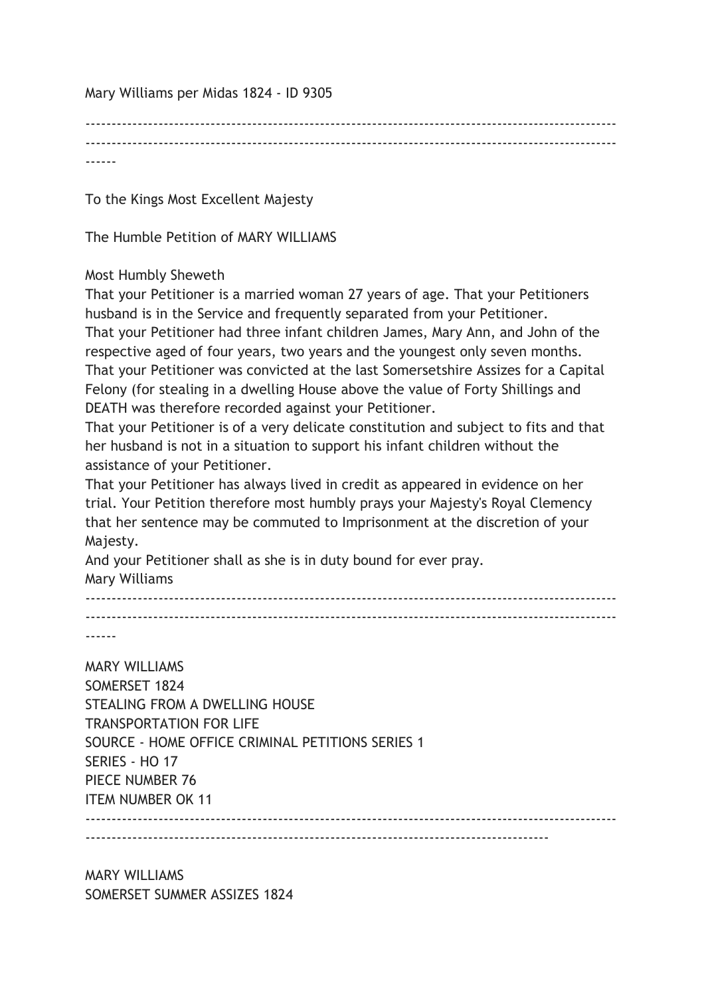Mary Williams per Midas 1824 - ID 9305

------------------------------------------------------------------------------------------------------ ------

To the Kings Most Excellent Majesty

The Humble Petition of MARY WILLIAMS

## Most Humbly Sheweth

That your Petitioner is a married woman 27 years of age. That your Petitioners husband is in the Service and frequently separated from your Petitioner. That your Petitioner had three infant children James, Mary Ann, and John of the respective aged of four years, two years and the youngest only seven months. That your Petitioner was convicted at the last Somersetshire Assizes for a Capital Felony (for stealing in a dwelling House above the value of Forty Shillings and DEATH was therefore recorded against your Petitioner.

That your Petitioner is of a very delicate constitution and subject to fits and that her husband is not in a situation to support his infant children without the assistance of your Petitioner.

That your Petitioner has always lived in credit as appeared in evidence on her trial. Your Petition therefore most humbly prays your Majesty's Royal Clemency that her sentence may be commuted to Imprisonment at the discretion of your Majesty.

And your Petitioner shall as she is in duty bound for ever pray. Mary Williams

------------------------------------------------------------------------------------------------------ ------------------------------------------------------------------------------------------------------

------

MARY WILLIAMS SOMERSET 1824 STEALING FROM A DWELLING HOUSE TRANSPORTATION FOR LIFE SOURCE - HOME OFFICE CRIMINAL PETITIONS SERIES 1 SERIES - HO 17 PIECE NUMBER 76 ITEM NUMBER OK 11 ------------------------------------------------------------------------------------------------------

-----------------------------------------------------------------------------------------

MARY WILLIAMS SOMERSET SUMMER ASSIZES 1824